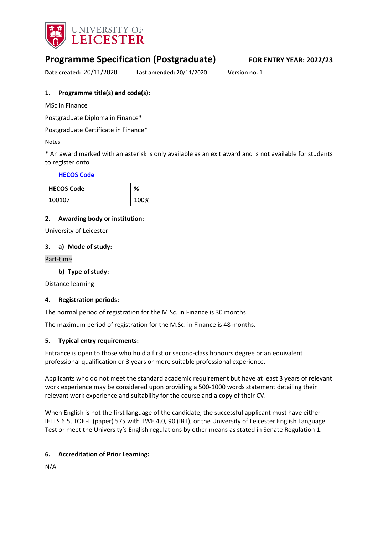

# **Programme Specification (Postgraduate) FOR ENTRY YEAR: 2022/23**

**Date created:** 20/11/2020 **Last amended:** 20/11/2020 **Version no.** 1

**1. Programme title(s) and code(s):**

MSc in Finance

Postgraduate Diploma in Finance\*

Postgraduate Certificate in Finance\*

Notes

\* An award marked with an asterisk is only available as an exit award and is not available for students to register onto.

#### **[HECOS Code](https://www.hesa.ac.uk/innovation/hecos)**

| <b>HECOS Code</b> | %    |
|-------------------|------|
| 100107            | 100% |

#### **2. Awarding body or institution:**

University of Leicester

#### **3. a) Mode of study:**

Part-time

**b) Type of study:**

Distance learning

#### **4. Registration periods:**

The normal period of registration for the M.Sc. in Finance is 30 months.

The maximum period of registration for the M.Sc. in Finance is 48 months.

#### **5. Typical entry requirements:**

Entrance is open to those who hold a first or second-class honours degree or an equivalent professional qualification or 3 years or more suitable professional experience.

Applicants who do not meet the standard academic requirement but have at least 3 years of relevant work experience may be considered upon providing a 500-1000 words statement detailing their relevant work experience and suitability for the course and a copy of their CV.

When English is not the first language of the candidate, the successful applicant must have either IELTS 6.5, TOEFL (paper) 575 with TWE 4.0, 90 (IBT), or the University of Leicester English Language Test or meet the University's English regulations by other means as stated in Senate Regulation 1.

#### **6. Accreditation of Prior Learning:**

N/A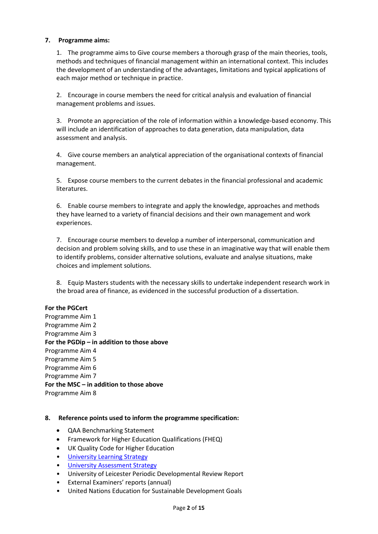#### **7. Programme aims:**

1. The programme aims to Give course members a thorough grasp of the main theories, tools, methods and techniques of financial management within an international context. This includes the development of an understanding of the advantages, limitations and typical applications of each major method or technique in practice.

2. Encourage in course members the need for critical analysis and evaluation of financial management problems and issues.

3. Promote an appreciation of the role of information within a knowledge-based economy. This will include an identification of approaches to data generation, data manipulation, data assessment and analysis.

4. Give course members an analytical appreciation of the organisational contexts of financial management.

5. Expose course members to the current debates in the financial professional and academic literatures.

6. Enable course members to integrate and apply the knowledge, approaches and methods they have learned to a variety of financial decisions and their own management and work experiences.

7. Encourage course members to develop a number of interpersonal, communication and decision and problem solving skills, and to use these in an imaginative way that will enable them to identify problems, consider alternative solutions, evaluate and analyse situations, make choices and implement solutions.

8. Equip Masters students with the necessary skills to undertake independent research work in the broad area of finance, as evidenced in the successful production of a dissertation.

#### **For the PGCert**

Programme Aim 1 Programme Aim 2 Programme Aim 3 **For the PGDip – in addition to those above** Programme Aim 4 Programme Aim 5 Programme Aim 6 Programme Aim 7 **For the MSC – in addition to those above** Programme Aim 8

#### **8. Reference points used to inform the programme specification:**

- QAA Benchmarking Statement
- Framework for Higher Education Qualifications (FHEQ)
- UK Quality Code for Higher Education
- University Learnin[g Strategy](https://www2.le.ac.uk/offices/sas2/quality/learnteach)
- [University Assessment Strategy](https://www2.le.ac.uk/offices/sas2/quality/learnteach)
- University of Leicester Periodic Developmental Review Report
- External Examiners' reports (annual)
- United Nations Education for Sustainable Development Goals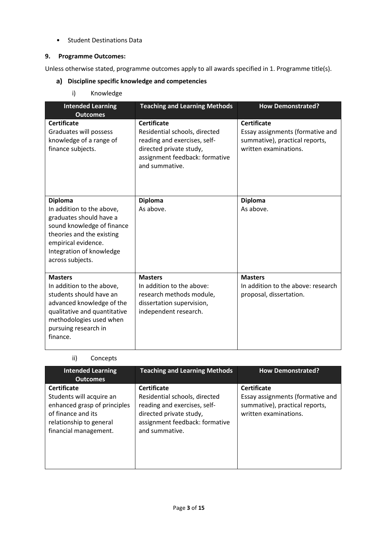• Student Destinations Data

#### **9. Programme Outcomes:**

Unless otherwise stated, programme outcomes apply to all awards specified in 1. Programme title(s).

- **Discipline specific knowledge and competencies**
	- i) Knowledge

| <b>Intended Learning</b><br><b>Outcomes</b>                                                                                                                                                              | <b>Teaching and Learning Methods</b>                                                                                                                               | <b>How Demonstrated?</b>                                                                                          |
|----------------------------------------------------------------------------------------------------------------------------------------------------------------------------------------------------------|--------------------------------------------------------------------------------------------------------------------------------------------------------------------|-------------------------------------------------------------------------------------------------------------------|
| <b>Certificate</b><br>Graduates will possess<br>knowledge of a range of<br>finance subjects.                                                                                                             | <b>Certificate</b><br>Residential schools, directed<br>reading and exercises, self-<br>directed private study,<br>assignment feedback: formative<br>and summative. | <b>Certificate</b><br>Essay assignments (formative and<br>summative), practical reports,<br>written examinations. |
| <b>Diploma</b><br>In addition to the above,<br>graduates should have a<br>sound knowledge of finance<br>theories and the existing<br>empirical evidence.<br>Integration of knowledge<br>across subjects. | <b>Diploma</b><br>As above.                                                                                                                                        | <b>Diploma</b><br>As above.                                                                                       |
| <b>Masters</b><br>In addition to the above,<br>students should have an<br>advanced knowledge of the<br>qualitative and quantitative<br>methodologies used when<br>pursuing research in<br>finance.       | <b>Masters</b><br>In addition to the above:<br>research methods module,<br>dissertation supervision,<br>independent research.                                      | <b>Masters</b><br>In addition to the above: research<br>proposal, dissertation.                                   |

| ii) | Concepts |
|-----|----------|
|-----|----------|

| <b>Intended Learning</b><br><b>Outcomes</b>                                                                                                              | <b>Teaching and Learning Methods</b>                                                                                                                               | <b>How Demonstrated?</b>                                                                                          |
|----------------------------------------------------------------------------------------------------------------------------------------------------------|--------------------------------------------------------------------------------------------------------------------------------------------------------------------|-------------------------------------------------------------------------------------------------------------------|
| <b>Certificate</b><br>Students will acquire an<br>enhanced grasp of principles<br>of finance and its<br>relationship to general<br>financial management. | <b>Certificate</b><br>Residential schools, directed<br>reading and exercises, self-<br>directed private study,<br>assignment feedback: formative<br>and summative. | <b>Certificate</b><br>Essay assignments (formative and<br>summative), practical reports,<br>written examinations. |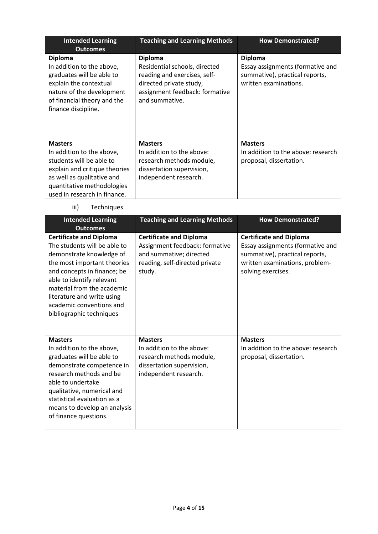| <b>Intended Learning</b><br><b>Outcomes</b>                                                                                                                                                          | <b>Teaching and Learning Methods</b>                                                                                                                           | <b>How Demonstrated?</b>                                                                                      |
|------------------------------------------------------------------------------------------------------------------------------------------------------------------------------------------------------|----------------------------------------------------------------------------------------------------------------------------------------------------------------|---------------------------------------------------------------------------------------------------------------|
| <b>Diploma</b><br>In addition to the above,<br>graduates will be able to<br>explain the contextual<br>nature of the development<br>of financial theory and the<br>finance discipline.                | <b>Diploma</b><br>Residential schools, directed<br>reading and exercises, self-<br>directed private study,<br>assignment feedback: formative<br>and summative. | <b>Diploma</b><br>Essay assignments (formative and<br>summative), practical reports,<br>written examinations. |
| <b>Masters</b><br>In addition to the above,<br>students will be able to<br>explain and critique theories<br>as well as qualitative and<br>quantitative methodologies<br>used in research in finance. | <b>Masters</b><br>In addition to the above:<br>research methods module,<br>dissertation supervision,<br>independent research.                                  | <b>Masters</b><br>In addition to the above: research<br>proposal, dissertation.                               |

# iii) Techniques

| <b>Intended Learning</b><br><b>Outcomes</b>                                                                                                                                                                                                                                                               | <b>Teaching and Learning Methods</b>                                                                                                    | <b>How Demonstrated?</b>                                                                                                                                     |
|-----------------------------------------------------------------------------------------------------------------------------------------------------------------------------------------------------------------------------------------------------------------------------------------------------------|-----------------------------------------------------------------------------------------------------------------------------------------|--------------------------------------------------------------------------------------------------------------------------------------------------------------|
| <b>Certificate and Diploma</b><br>The students will be able to<br>demonstrate knowledge of<br>the most important theories<br>and concepts in finance; be<br>able to identify relevant<br>material from the academic<br>literature and write using<br>academic conventions and<br>bibliographic techniques | <b>Certificate and Diploma</b><br>Assignment feedback: formative<br>and summative; directed<br>reading, self-directed private<br>study. | <b>Certificate and Diploma</b><br>Essay assignments (formative and<br>summative), practical reports,<br>written examinations, problem-<br>solving exercises. |
| <b>Masters</b><br>In addition to the above,<br>graduates will be able to<br>demonstrate competence in<br>research methods and be<br>able to undertake<br>qualitative, numerical and<br>statistical evaluation as a<br>means to develop an analysis<br>of finance questions.                               | <b>Masters</b><br>In addition to the above:<br>research methods module,<br>dissertation supervision,<br>independent research.           | <b>Masters</b><br>In addition to the above: research<br>proposal, dissertation.                                                                              |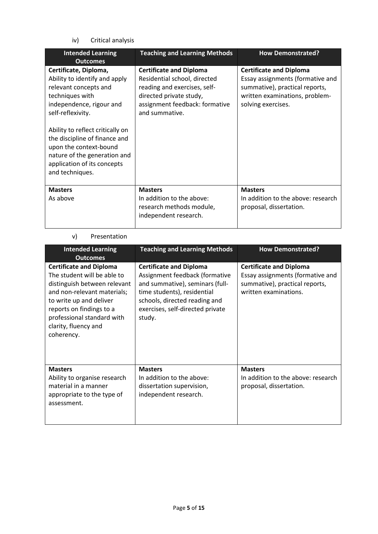iv) Critical analysis

| <b>Intended Learning</b><br><b>Outcomes</b>                                                                                                                                                                              | <b>Teaching and Learning Methods</b>                                                                                                                                          | <b>How Demonstrated?</b>                                                                                                                                     |
|--------------------------------------------------------------------------------------------------------------------------------------------------------------------------------------------------------------------------|-------------------------------------------------------------------------------------------------------------------------------------------------------------------------------|--------------------------------------------------------------------------------------------------------------------------------------------------------------|
| Certificate, Diploma,<br>Ability to identify and apply<br>relevant concepts and<br>techniques with<br>independence, rigour and<br>self-reflexivity.<br>Ability to reflect critically on<br>the discipline of finance and | <b>Certificate and Diploma</b><br>Residential school, directed<br>reading and exercises, self-<br>directed private study,<br>assignment feedback: formative<br>and summative. | <b>Certificate and Diploma</b><br>Essay assignments (formative and<br>summative), practical reports,<br>written examinations, problem-<br>solving exercises. |
| upon the context-bound<br>nature of the generation and<br>application of its concepts<br>and techniques.                                                                                                                 |                                                                                                                                                                               |                                                                                                                                                              |
| <b>Masters</b><br>As above                                                                                                                                                                                               | <b>Masters</b><br>In addition to the above:<br>research methods module,<br>independent research.                                                                              | <b>Masters</b><br>In addition to the above: research<br>proposal, dissertation.                                                                              |

#### v) Presentation

| <b>Intended Learning</b><br><b>Outcomes</b>                                                                                                                                                                                                             | <b>Teaching and Learning Methods</b>                                                                                                                                                                              | <b>How Demonstrated?</b>                                                                                                      |
|---------------------------------------------------------------------------------------------------------------------------------------------------------------------------------------------------------------------------------------------------------|-------------------------------------------------------------------------------------------------------------------------------------------------------------------------------------------------------------------|-------------------------------------------------------------------------------------------------------------------------------|
| <b>Certificate and Diploma</b><br>The student will be able to<br>distinguish between relevant<br>and non-relevant materials;<br>to write up and deliver<br>reports on findings to a<br>professional standard with<br>clarity, fluency and<br>coherency. | <b>Certificate and Diploma</b><br>Assignment feedback (formative<br>and summative), seminars (full-<br>time students), residential<br>schools, directed reading and<br>exercises, self-directed private<br>study. | <b>Certificate and Diploma</b><br>Essay assignments (formative and<br>summative), practical reports,<br>written examinations. |
| <b>Masters</b><br>Ability to organise research<br>material in a manner<br>appropriate to the type of<br>assessment.                                                                                                                                     | <b>Masters</b><br>In addition to the above:<br>dissertation supervision,<br>independent research.                                                                                                                 | <b>Masters</b><br>In addition to the above: research<br>proposal, dissertation.                                               |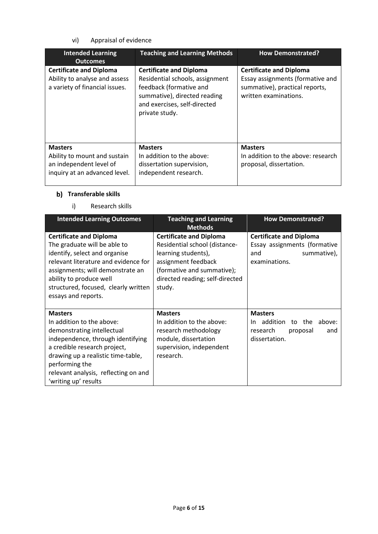vi) Appraisal of evidence

| <b>Intended Learning</b><br><b>Outcomes</b>                                                                | <b>Teaching and Learning Methods</b>                                                                                                                                           | <b>How Demonstrated?</b>                                                                                                      |
|------------------------------------------------------------------------------------------------------------|--------------------------------------------------------------------------------------------------------------------------------------------------------------------------------|-------------------------------------------------------------------------------------------------------------------------------|
| <b>Certificate and Diploma</b><br>Ability to analyse and assess<br>a variety of financial issues.          | <b>Certificate and Diploma</b><br>Residential schools, assignment<br>feedback (formative and<br>summative), directed reading<br>and exercises, self-directed<br>private study. | <b>Certificate and Diploma</b><br>Essay assignments (formative and<br>summative), practical reports,<br>written examinations. |
| <b>Masters</b><br>Ability to mount and sustain<br>an independent level of<br>inquiry at an advanced level. | <b>Masters</b><br>In addition to the above:<br>dissertation supervision,<br>independent research.                                                                              | <b>Masters</b><br>In addition to the above: research<br>proposal, dissertation.                                               |

# **Transferable skills**

# i) Research skills

| <b>Intended Learning Outcomes</b>                                                                                                                                                                                                                                      | <b>Teaching and Learning</b>                                                                                                                                                                               | <b>How Demonstrated?</b>                                                                              |
|------------------------------------------------------------------------------------------------------------------------------------------------------------------------------------------------------------------------------------------------------------------------|------------------------------------------------------------------------------------------------------------------------------------------------------------------------------------------------------------|-------------------------------------------------------------------------------------------------------|
| <b>Certificate and Diploma</b><br>The graduate will be able to<br>identify, select and organise<br>relevant literature and evidence for<br>assignments; will demonstrate an<br>ability to produce well<br>structured, focused, clearly written<br>essays and reports.  | <b>Methods</b><br><b>Certificate and Diploma</b><br>Residential school (distance-<br>learning students),<br>assignment feedback<br>(formative and summative);<br>directed reading; self-directed<br>study. | <b>Certificate and Diploma</b><br>Essay assignments (formative<br>summative),<br>and<br>examinations. |
| <b>Masters</b><br>In addition to the above:<br>demonstrating intellectual<br>independence, through identifying<br>a credible research project,<br>drawing up a realistic time-table,<br>performing the<br>relevant analysis, reflecting on and<br>'writing up' results | <b>Masters</b><br>In addition to the above:<br>research methodology<br>module, dissertation<br>supervision, independent<br>research.                                                                       | <b>Masters</b><br>In addition<br>to the<br>above:<br>research<br>proposal<br>and<br>dissertation.     |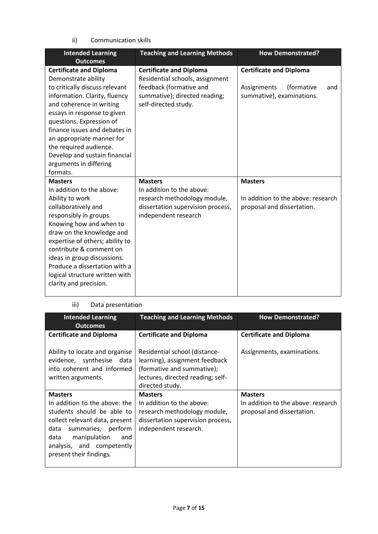ii) Communication skills

| <b>Intended Learning</b><br><b>Outcomes</b>                                                                                                                                                                                                                                                                        | <b>Teaching and Learning Methods</b>                                                                                                                  | <b>How Demonstrated?</b>                                                                        |
|--------------------------------------------------------------------------------------------------------------------------------------------------------------------------------------------------------------------------------------------------------------------------------------------------------------------|-------------------------------------------------------------------------------------------------------------------------------------------------------|-------------------------------------------------------------------------------------------------|
| <b>Certificate and Diploma</b><br>Demonstrate ability<br>to critically discuss relevant<br>information. Clarity, fluency<br>and coherence in writing                                                                                                                                                               | <b>Certificate and Diploma</b><br>Residential schools, assignment<br>feedback (formative and<br>summative); directed reading;<br>self-directed study. | <b>Certificate and Diploma</b><br>(formative<br>Assignments<br>and<br>summative), examinations. |
| essays in response to given<br>questions. Expression of<br>finance issues and debates in<br>an appropriate manner for<br>the required audience.<br>Develop and sustain financial<br>arguments in differing<br>formats.                                                                                             |                                                                                                                                                       |                                                                                                 |
| <b>Masters</b>                                                                                                                                                                                                                                                                                                     | <b>Masters</b>                                                                                                                                        | <b>Masters</b>                                                                                  |
| In addition to the above:                                                                                                                                                                                                                                                                                          | In addition to the above:                                                                                                                             |                                                                                                 |
| Ability to work<br>collaboratively and<br>responsibly in groups.<br>Knowing how and when to<br>draw on the knowledge and<br>expertise of others; ability to<br>contribute & comment on<br>ideas in group discussions.<br>Produce a dissertation with a<br>logical structure written with<br>clarity and precision. | research methodology module,<br>dissertation supervision process,<br>independent research                                                             | In addition to the above: research<br>proposal and dissertation.                                |

#### iii) Data presentation

| <b>Intended Learning</b><br><b>Outcomes</b>                                                                                                                                                                        | <b>Teaching and Learning Methods</b>                                                                                                                  | <b>How Demonstrated?</b>                                         |
|--------------------------------------------------------------------------------------------------------------------------------------------------------------------------------------------------------------------|-------------------------------------------------------------------------------------------------------------------------------------------------------|------------------------------------------------------------------|
| <b>Certificate and Diploma</b>                                                                                                                                                                                     | <b>Certificate and Diploma</b>                                                                                                                        | <b>Certificate and Diploma</b>                                   |
| Ability to locate and organise<br>evidence, synthesise data<br>into coherent and informed<br>written arguments.                                                                                                    | Residential school (distance-<br>learning), assignment feedback<br>(formative and summative);<br>lectures, directed reading; self-<br>directed study. | Assignments, examinations.                                       |
| <b>Masters</b>                                                                                                                                                                                                     | <b>Masters</b>                                                                                                                                        | <b>Masters</b>                                                   |
| In addition to the above: the<br>students should be able to<br>collect relevant data, present<br>data<br>summaries, perform<br>data<br>manipulation<br>and<br>analysis, and competently<br>present their findings. | In addition to the above:<br>research methodology module,<br>dissertation supervision process,<br>independent research.                               | In addition to the above: research<br>proposal and dissertation. |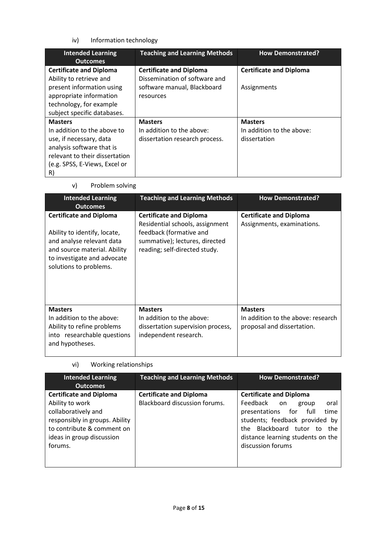iv) Information technology

v) Problem solving

| <b>Intended Learning</b>       | <b>Teaching and Learning Methods</b> | <b>How Demonstrated?</b>       |
|--------------------------------|--------------------------------------|--------------------------------|
| <b>Outcomes</b>                |                                      |                                |
| <b>Certificate and Diploma</b> | <b>Certificate and Diploma</b>       | <b>Certificate and Diploma</b> |
| Ability to retrieve and        | Dissemination of software and        |                                |
| present information using      | software manual, Blackboard          | Assignments                    |
| appropriate information        | resources                            |                                |
| technology, for example        |                                      |                                |
| subject specific databases.    |                                      |                                |
| <b>Masters</b>                 | <b>Masters</b>                       | <b>Masters</b>                 |
| In addition to the above to    | In addition to the above:            | In addition to the above:      |
| use, if necessary, data        | dissertation research process.       | dissertation                   |
| analysis software that is      |                                      |                                |
| relevant to their dissertation |                                      |                                |
| (e.g. SPSS, E-Views, Excel or  |                                      |                                |
| R)                             |                                      |                                |

| <b>Intended Learning</b><br><b>Outcomes</b>                                                                                                                                          | <b>Teaching and Learning Methods</b>                                                                                                                            | <b>How Demonstrated?</b>                                                           |
|--------------------------------------------------------------------------------------------------------------------------------------------------------------------------------------|-----------------------------------------------------------------------------------------------------------------------------------------------------------------|------------------------------------------------------------------------------------|
| <b>Certificate and Diploma</b><br>Ability to identify, locate,<br>and analyse relevant data<br>and source material. Ability<br>to investigate and advocate<br>solutions to problems. | <b>Certificate and Diploma</b><br>Residential schools, assignment<br>feedback (formative and<br>summative); lectures, directed<br>reading; self-directed study. | <b>Certificate and Diploma</b><br>Assignments, examinations.                       |
| <b>Masters</b><br>In addition to the above:<br>Ability to refine problems<br>into researchable questions<br>and hypotheses.                                                          | <b>Masters</b><br>In addition to the above:<br>dissertation supervision process,<br>independent research.                                                       | <b>Masters</b><br>In addition to the above: research<br>proposal and dissertation. |

vi) Working relationships

| <b>Intended Learning</b><br><b>Outcomes</b>                                                                                                                                      | <b>Teaching and Learning Methods</b>                            | <b>How Demonstrated?</b>                                                                                                                                                                                                             |  |  |
|----------------------------------------------------------------------------------------------------------------------------------------------------------------------------------|-----------------------------------------------------------------|--------------------------------------------------------------------------------------------------------------------------------------------------------------------------------------------------------------------------------------|--|--|
| <b>Certificate and Diploma</b><br>Ability to work<br>collaboratively and<br>responsibly in groups. Ability<br>to contribute & comment on<br>ideas in group discussion<br>forums. | <b>Certificate and Diploma</b><br>Blackboard discussion forums. | <b>Certificate and Diploma</b><br>Feedback on<br>oral<br>group<br>time<br>for<br>presentations<br>full<br>students; feedback provided by<br>the Blackboard tutor to<br>the<br>distance learning students on the<br>discussion forums |  |  |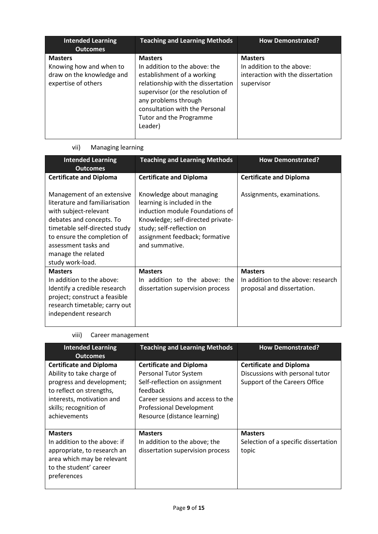| <b>Intended Learning</b><br><b>Outcomes</b>                                                   | <b>Teaching and Learning Methods</b>                                                                                                                                                                                                                    | <b>How Demonstrated?</b>                                                                       |
|-----------------------------------------------------------------------------------------------|---------------------------------------------------------------------------------------------------------------------------------------------------------------------------------------------------------------------------------------------------------|------------------------------------------------------------------------------------------------|
| <b>Masters</b><br>Knowing how and when to<br>draw on the knowledge and<br>expertise of others | <b>Masters</b><br>In addition to the above: the<br>establishment of a working<br>relationship with the dissertation<br>supervisor (or the resolution of<br>any problems through<br>consultation with the Personal<br>Tutor and the Programme<br>Leader) | <b>Masters</b><br>In addition to the above:<br>interaction with the dissertation<br>supervisor |

# vii) Managing learning

| <b>Intended Learning</b>                                                                                                                                                                                                        | <b>Teaching and Learning Methods</b>                                                                                                                                                                             | <b>How Demonstrated?</b>                                                           |
|---------------------------------------------------------------------------------------------------------------------------------------------------------------------------------------------------------------------------------|------------------------------------------------------------------------------------------------------------------------------------------------------------------------------------------------------------------|------------------------------------------------------------------------------------|
| <b>Outcomes</b>                                                                                                                                                                                                                 |                                                                                                                                                                                                                  |                                                                                    |
| <b>Certificate and Diploma</b>                                                                                                                                                                                                  | <b>Certificate and Diploma</b>                                                                                                                                                                                   | <b>Certificate and Diploma</b>                                                     |
|                                                                                                                                                                                                                                 |                                                                                                                                                                                                                  |                                                                                    |
| Management of an extensive<br>literature and familiarisation<br>with subject-relevant<br>debates and concepts. To<br>timetable self-directed study<br>to ensure the completion of<br>assessment tasks and<br>manage the related | Knowledge about managing<br>learning is included in the<br>induction module Foundations of<br>Knowledge; self-directed private-<br>study; self-reflection on<br>assignment feedback; formative<br>and summative. | Assignments, examinations.                                                         |
| study work-load.                                                                                                                                                                                                                |                                                                                                                                                                                                                  |                                                                                    |
| <b>Masters</b><br>In addition to the above:<br>Identify a credible research<br>project; construct a feasible<br>research timetable; carry out<br>independent research                                                           | <b>Masters</b><br>In addition to the above: the<br>dissertation supervision process                                                                                                                              | <b>Masters</b><br>In addition to the above: research<br>proposal and dissertation. |

# viii) Career management

| <b>Intended Learning</b><br><b>Outcomes</b>                                                                                                                                                 | <b>Teaching and Learning Methods</b>                                                                                                                                                                         | <b>How Demonstrated?</b>                                                                           |
|---------------------------------------------------------------------------------------------------------------------------------------------------------------------------------------------|--------------------------------------------------------------------------------------------------------------------------------------------------------------------------------------------------------------|----------------------------------------------------------------------------------------------------|
| <b>Certificate and Diploma</b><br>Ability to take charge of<br>progress and development;<br>to reflect on strengths,<br>interests, motivation and<br>skills; recognition of<br>achievements | <b>Certificate and Diploma</b><br>Personal Tutor System<br>Self-reflection on assignment<br>feedback<br>Career sessions and access to the<br><b>Professional Development</b><br>Resource (distance learning) | <b>Certificate and Diploma</b><br>Discussions with personal tutor<br>Support of the Careers Office |
| <b>Masters</b><br>In addition to the above: if<br>appropriate, to research an<br>area which may be relevant<br>to the student' career<br>preferences                                        | <b>Masters</b><br>In addition to the above; the<br>dissertation supervision process                                                                                                                          | <b>Masters</b><br>Selection of a specific dissertation<br>topic                                    |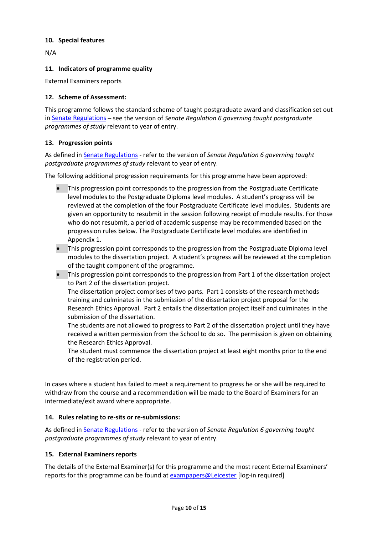#### **10. Special features**

N/A

#### **11. Indicators of programme quality**

External Examiners reports

#### **12. Scheme of Assessment:**

This programme follows the standard scheme of taught postgraduate award and classification set out i[n Senate Regulations](http://www.le.ac.uk/senate-regulations) – see the version of *Senate Regulation 6 governing taught postgraduate programmes of study* relevant to year of entry.

#### **13. Progression points**

As defined i[n Senate Regulations](http://www.le.ac.uk/senate-regulation6) - refer to the version of *Senate Regulation 6 governing taught postgraduate programmes of study* relevant to year of entry.

The following additional progression requirements for this programme have been approved:

- This progression point corresponds to the progression from the Postgraduate Certificate level modules to the Postgraduate Diploma level modules. A student's progress will be reviewed at the completion of the four Postgraduate Certificate level modules. Students are given an opportunity to resubmit in the session following receipt of module results. For those who do not resubmit, a period of academic suspense may be recommended based on the progression rules below. The Postgraduate Certificate level modules are identified in Appendix 1.
- This progression point corresponds to the progression from the Postgraduate Diploma level modules to the dissertation project. A student's progress will be reviewed at the completion of the taught component of the programme.
- This progression point corresponds to the progression from Part 1 of the dissertation project to Part 2 of the dissertation project.

The dissertation project comprises of two parts. Part 1 consists of the research methods training and culminates in the submission of the dissertation project proposal for the Research Ethics Approval. Part 2 entails the dissertation project itself and culminates in the submission of the dissertation.

The students are not allowed to progress to Part 2 of the dissertation project until they have received a written permission from the School to do so. The permission is given on obtaining the Research Ethics Approval.

The student must commence the dissertation project at least eight months prior to the end of the registration period.

In cases where a student has failed to meet a requirement to progress he or she will be required to withdraw from the course and a recommendation will be made to the Board of Examiners for an intermediate/exit award where appropriate.

#### **14. Rules relating to re-sits or re-submissions:**

As defined i[n Senate Regulations](http://www.le.ac.uk/senate-regulation6) - refer to the version of *Senate Regulation 6 governing taught postgraduate programmes of study* relevant to year of entry.

#### **15. External Examiners reports**

The details of the External Examiner(s) for this programme and the most recent External Examiners' reports for this programme can be found at [exampapers@Leicester](https://exampapers.le.ac.uk/) [log-in required]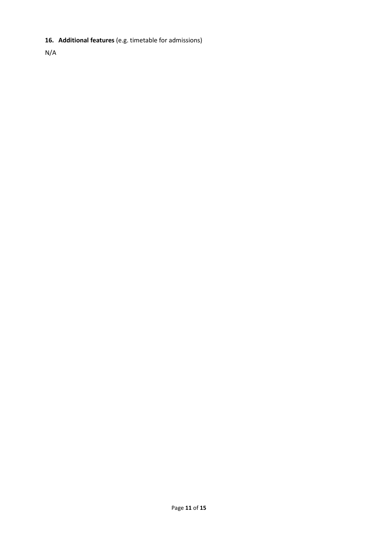# **16. Additional features** (e.g. timetable for admissions)

N/A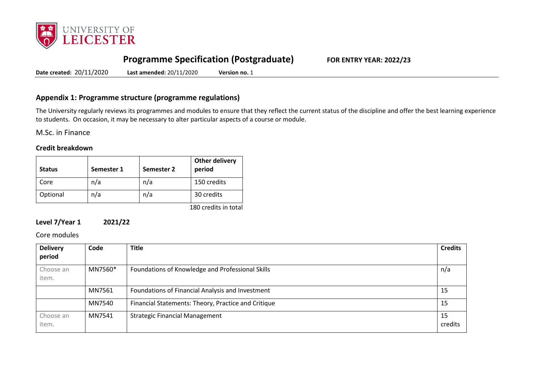

# **Programme Specification (Postgraduate) FOR ENTRY YEAR: 2022/23**

**Date created:** 20/11/2020 **Last amended:** 20/11/2020 **Version no.** 1

## **Appendix 1: Programme structure (programme regulations)**

The University regularly reviews its programmes and modules to ensure that they reflect the current status of the discipline and offer the best learning experience to students. On occasion, it may be necessary to alter particular aspects of a course or module.

M.Sc. in Finance

#### **Credit breakdown**

| <b>Status</b> | Semester 1 | Semester 2 | <b>Other delivery</b><br>period   |
|---------------|------------|------------|-----------------------------------|
| Core          | n/a        | n/a        | 150 credits                       |
| Optional      | n/a        | n/a        | 30 credits                        |
|               |            |            | $4.00 \pm 0.01$ . $1.1 \pm 0.001$ |

180 credits in total

## **Level 7/Year 1 2021/22**

Core modules

| <b>Delivery</b><br>period | Code    | <b>Title</b>                                        | <b>Credits</b> |
|---------------------------|---------|-----------------------------------------------------|----------------|
| Choose an<br>item.        | MN7560* | Foundations of Knowledge and Professional Skills    | n/a            |
|                           | MN7561  | Foundations of Financial Analysis and Investment    | -15            |
|                           | MN7540  | Financial Statements: Theory, Practice and Critique | -15            |
| Choose an<br>item.        | MN7541  | <b>Strategic Financial Management</b>               | -15<br>credits |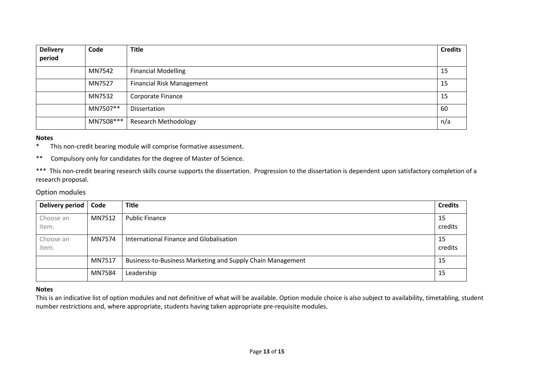| <b>Delivery</b><br>period | Code      | <b>Title</b>                     | <b>Credits</b> |
|---------------------------|-----------|----------------------------------|----------------|
|                           | MN7542    | <b>Financial Modelling</b>       | 15             |
|                           | MN7527    | <b>Financial Risk Management</b> | 15             |
|                           | MN7532    | Corporate Finance                | 15             |
|                           | MN7507**  | Dissertation                     | 60             |
|                           | MN7508*** | <b>Research Methodology</b>      | n/a            |

#### **Notes**

\* This non-credit bearing module will comprise formative assessment.

\*\* Compulsory only for candidates for the degree of Master of Science.

\*\*\* This non-credit bearing research skills course supports the dissertation. Progression to the dissertation is dependent upon satisfactory completion of a research proposal.

#### Option modules

| <b>Delivery period</b> | Code   | <b>Title</b>                                               | <b>Credits</b> |
|------------------------|--------|------------------------------------------------------------|----------------|
| Choose an<br>item.     | MN7512 | <b>Public Finance</b>                                      | 15<br>credits  |
| Choose an<br>item.     | MN7574 | International Finance and Globalisation                    | 15<br>credits  |
|                        | MN7517 | Business-to-Business Marketing and Supply Chain Management | 15             |
|                        | MN7584 | Leadership                                                 | 15             |

#### **Notes**

This is an indicative list of option modules and not definitive of what will be available. Option module choice is also subject to availability, timetabling, student number restrictions and, where appropriate, students having taken appropriate pre-requisite modules.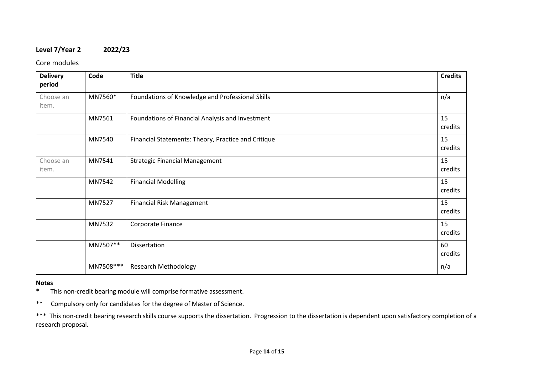# **Level 7/Year 2 2022/23**

Core modules

| <b>Delivery</b><br>period | Code       | <b>Title</b>                                        | <b>Credits</b> |
|---------------------------|------------|-----------------------------------------------------|----------------|
| Choose an<br>item.        | MN7560*    | Foundations of Knowledge and Professional Skills    | n/a            |
|                           | MN7561     | Foundations of Financial Analysis and Investment    | 15<br>credits  |
|                           | MN7540     | Financial Statements: Theory, Practice and Critique | 15<br>credits  |
| Choose an<br>item.        | MN7541     | <b>Strategic Financial Management</b>               | 15<br>credits  |
|                           | MN7542     | <b>Financial Modelling</b>                          | 15<br>credits  |
|                           | MN7527     | <b>Financial Risk Management</b>                    | 15<br>credits  |
|                           | MN7532     | Corporate Finance                                   | 15<br>credits  |
|                           | MN7507**   | Dissertation                                        | 60<br>credits  |
|                           | MN7508 *** | <b>Research Methodology</b>                         | n/a            |

# **Notes**<br>\* Tl

This non-credit bearing module will comprise formative assessment.

\*\* Compulsory only for candidates for the degree of Master of Science.

\*\*\* This non-credit bearing research skills course supports the dissertation. Progression to the dissertation is dependent upon satisfactory completion of a research proposal.